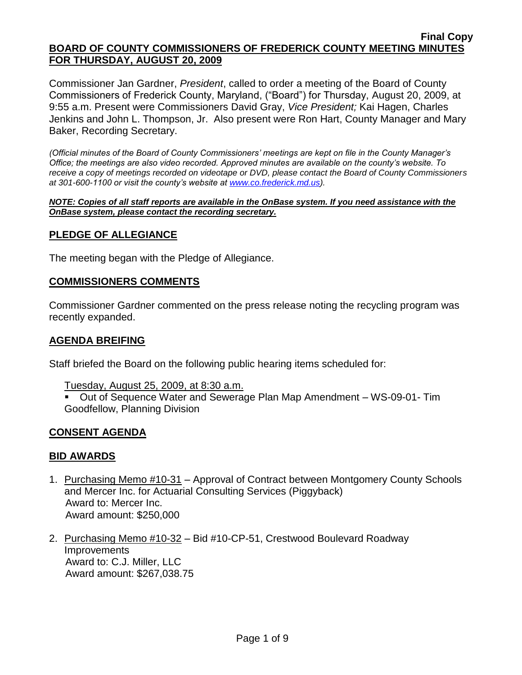Commissioner Jan Gardner, *President*, called to order a meeting of the Board of County Commissioners of Frederick County, Maryland, ("Board") for Thursday, August 20, 2009, at 9:55 a.m. Present were Commissioners David Gray, *Vice President;* Kai Hagen, Charles Jenkins and John L. Thompson, Jr. Also present were Ron Hart, County Manager and Mary Baker, Recording Secretary.

*(Official minutes of the Board of County Commissioners' meetings are kept on file in the County Manager's Office; the meetings are also video recorded. Approved minutes are available on the county's website. To receive a copy of meetings recorded on videotape or DVD, please contact the Board of County Commissioners at 301-600-1100 or visit the county's website at [www.co.frederick.md.us\)](http://www.co.frederick.md.us/).*

*NOTE: Copies of all staff reports are available in the OnBase system. If you need assistance with the OnBase system, please contact the recording secretary.*

### **PLEDGE OF ALLEGIANCE**

The meeting began with the Pledge of Allegiance.

#### **COMMISSIONERS COMMENTS**

Commissioner Gardner commented on the press release noting the recycling program was recently expanded.

#### **AGENDA BREIFING**

Staff briefed the Board on the following public hearing items scheduled for:

Tuesday, August 25, 2009, at 8:30 a.m.

 Out of Sequence Water and Sewerage Plan Map Amendment – WS-09-01- Tim Goodfellow, Planning Division

### **CONSENT AGENDA**

#### **BID AWARDS**

- 1. Purchasing Memo #10-31 Approval of Contract between Montgomery County Schools and Mercer Inc. for Actuarial Consulting Services (Piggyback) Award to: Mercer Inc. Award amount: \$250,000
- 2. Purchasing Memo #10-32 Bid #10-CP-51, Crestwood Boulevard Roadway **Improvements**  Award to: C.J. Miller, LLC Award amount: \$267,038.75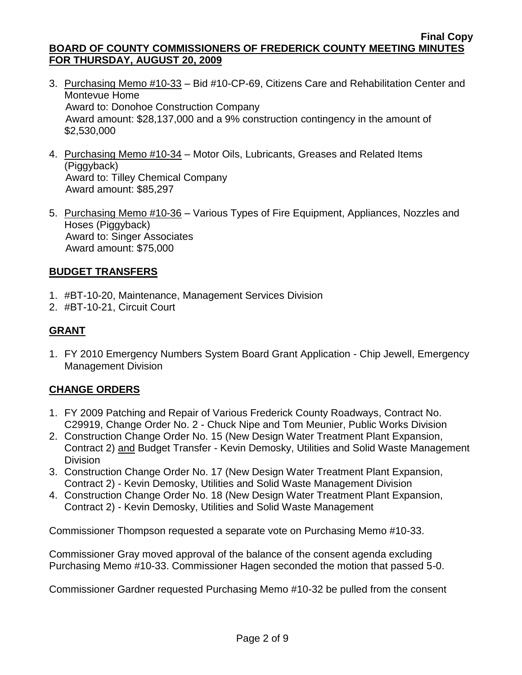- 3. Purchasing Memo #10-33 Bid #10-CP-69, Citizens Care and Rehabilitation Center and Montevue Home Award to: Donohoe Construction Company Award amount: \$28,137,000 and a 9% construction contingency in the amount of \$2,530,000
- 4. Purchasing Memo #10-34 Motor Oils, Lubricants, Greases and Related Items (Piggyback) Award to: Tilley Chemical Company Award amount: \$85,297
- 5. Purchasing Memo #10-36 Various Types of Fire Equipment, Appliances, Nozzles and Hoses (Piggyback) Award to: Singer Associates Award amount: \$75,000

# **BUDGET TRANSFERS**

- 1. #BT-10-20, Maintenance, Management Services Division
- 2. #BT-10-21, Circuit Court

# **GRANT**

1. FY 2010 Emergency Numbers System Board Grant Application - Chip Jewell, Emergency Management Division

# **CHANGE ORDERS**

- 1. FY 2009 Patching and Repair of Various Frederick County Roadways, Contract No. C29919, Change Order No. 2 - Chuck Nipe and Tom Meunier, Public Works Division
- 2. Construction Change Order No. 15 (New Design Water Treatment Plant Expansion, Contract 2) and Budget Transfer - Kevin Demosky, Utilities and Solid Waste Management Division
- 3. Construction Change Order No. 17 (New Design Water Treatment Plant Expansion, Contract 2) - Kevin Demosky, Utilities and Solid Waste Management Division
- 4. Construction Change Order No. 18 (New Design Water Treatment Plant Expansion, Contract 2) - Kevin Demosky, Utilities and Solid Waste Management

Commissioner Thompson requested a separate vote on Purchasing Memo #10-33.

Commissioner Gray moved approval of the balance of the consent agenda excluding Purchasing Memo #10-33. Commissioner Hagen seconded the motion that passed 5-0.

Commissioner Gardner requested Purchasing Memo #10-32 be pulled from the consent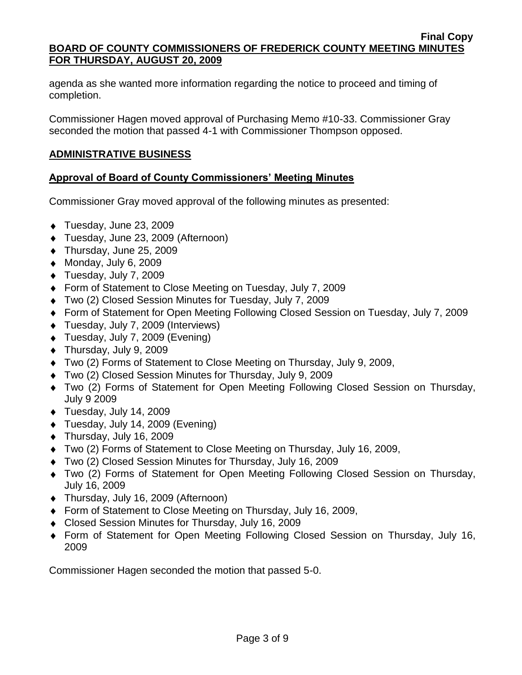agenda as she wanted more information regarding the notice to proceed and timing of completion.

Commissioner Hagen moved approval of Purchasing Memo #10-33. Commissioner Gray seconded the motion that passed 4-1 with Commissioner Thompson opposed.

## **ADMINISTRATIVE BUSINESS**

### **Approval of Board of County Commissioners' Meeting Minutes**

Commissioner Gray moved approval of the following minutes as presented:

- ◆ Tuesday, June 23, 2009
- Tuesday, June 23, 2009 (Afternoon)
- ◆ Thursday, June 25, 2009
- $\bullet$  Monday, July 6, 2009
- ◆ Tuesday, July 7, 2009
- Form of Statement to Close Meeting on Tuesday, July 7, 2009
- Two (2) Closed Session Minutes for Tuesday, July 7, 2009
- Form of Statement for Open Meeting Following Closed Session on Tuesday, July 7, 2009
- Tuesday, July 7, 2009 (Interviews)
- ◆ Tuesday, July 7, 2009 (Evening)
- ◆ Thursday, July 9, 2009
- Two (2) Forms of Statement to Close Meeting on Thursday, July 9, 2009,
- Two (2) Closed Session Minutes for Thursday, July 9, 2009
- Two (2) Forms of Statement for Open Meeting Following Closed Session on Thursday, July 9 2009
- ◆ Tuesday, July 14, 2009
- Tuesday, July 14, 2009 (Evening)
- Thursday, July 16, 2009
- Two (2) Forms of Statement to Close Meeting on Thursday, July 16, 2009,
- Two (2) Closed Session Minutes for Thursday, July 16, 2009
- Two (2) Forms of Statement for Open Meeting Following Closed Session on Thursday, July 16, 2009
- Thursday, July 16, 2009 (Afternoon)
- ◆ Form of Statement to Close Meeting on Thursday, July 16, 2009,
- Closed Session Minutes for Thursday, July 16, 2009
- Form of Statement for Open Meeting Following Closed Session on Thursday, July 16, 2009

Commissioner Hagen seconded the motion that passed 5-0.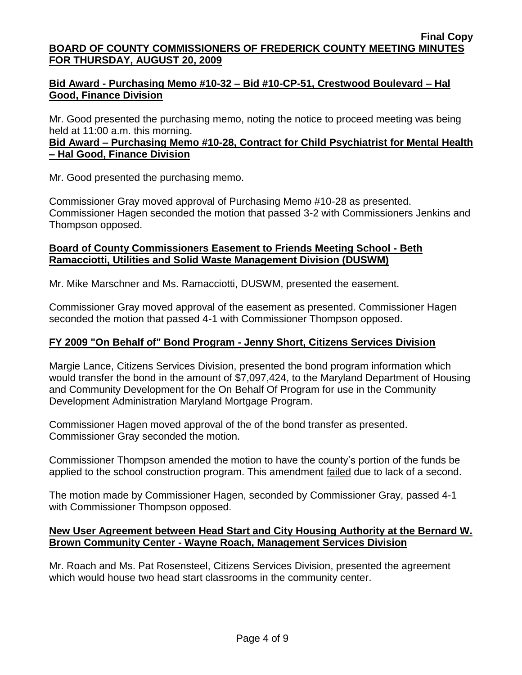# **Bid Award - Purchasing Memo #10-32 – Bid #10-CP-51, Crestwood Boulevard – Hal Good, Finance Division**

Mr. Good presented the purchasing memo, noting the notice to proceed meeting was being held at 11:00 a.m. this morning.

## **Bid Award – Purchasing Memo #10-28, Contract for Child Psychiatrist for Mental Health – Hal Good, Finance Division**

Mr. Good presented the purchasing memo.

Commissioner Gray moved approval of Purchasing Memo #10-28 as presented. Commissioner Hagen seconded the motion that passed 3-2 with Commissioners Jenkins and Thompson opposed.

## **Board of County Commissioners Easement to Friends Meeting School - Beth Ramacciotti, Utilities and Solid Waste Management Division (DUSWM)**

Mr. Mike Marschner and Ms. Ramacciotti, DUSWM, presented the easement.

Commissioner Gray moved approval of the easement as presented. Commissioner Hagen seconded the motion that passed 4-1 with Commissioner Thompson opposed.

# **FY 2009 "On Behalf of" Bond Program - Jenny Short, Citizens Services Division**

Margie Lance, Citizens Services Division, presented the bond program information which would transfer the bond in the amount of \$7,097,424, to the Maryland Department of Housing and Community Development for the On Behalf Of Program for use in the Community Development Administration Maryland Mortgage Program.

Commissioner Hagen moved approval of the of the bond transfer as presented. Commissioner Gray seconded the motion.

Commissioner Thompson amended the motion to have the county's portion of the funds be applied to the school construction program. This amendment failed due to lack of a second.

The motion made by Commissioner Hagen, seconded by Commissioner Gray, passed 4-1 with Commissioner Thompson opposed.

### **New User Agreement between Head Start and City Housing Authority at the Bernard W. Brown Community Center - Wayne Roach, Management Services Division**

Mr. Roach and Ms. Pat Rosensteel, Citizens Services Division, presented the agreement which would house two head start classrooms in the community center.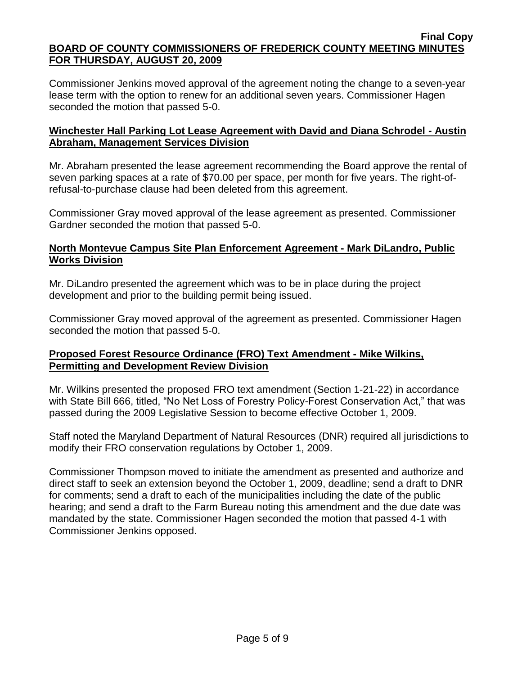Commissioner Jenkins moved approval of the agreement noting the change to a seven-year lease term with the option to renew for an additional seven years. Commissioner Hagen seconded the motion that passed 5-0.

# **Winchester Hall Parking Lot Lease Agreement with David and Diana Schrodel - Austin Abraham, Management Services Division**

Mr. Abraham presented the lease agreement recommending the Board approve the rental of seven parking spaces at a rate of \$70.00 per space, per month for five years. The right-ofrefusal-to-purchase clause had been deleted from this agreement.

Commissioner Gray moved approval of the lease agreement as presented. Commissioner Gardner seconded the motion that passed 5-0.

# **North Montevue Campus Site Plan Enforcement Agreement - Mark DiLandro, Public Works Division**

Mr. DiLandro presented the agreement which was to be in place during the project development and prior to the building permit being issued.

Commissioner Gray moved approval of the agreement as presented. Commissioner Hagen seconded the motion that passed 5-0.

# **Proposed Forest Resource Ordinance (FRO) Text Amendment - Mike Wilkins, Permitting and Development Review Division**

Mr. Wilkins presented the proposed FRO text amendment (Section 1-21-22) in accordance with State Bill 666, titled, "No Net Loss of Forestry Policy-Forest Conservation Act," that was passed during the 2009 Legislative Session to become effective October 1, 2009.

Staff noted the Maryland Department of Natural Resources (DNR) required all jurisdictions to modify their FRO conservation regulations by October 1, 2009.

Commissioner Thompson moved to initiate the amendment as presented and authorize and direct staff to seek an extension beyond the October 1, 2009, deadline; send a draft to DNR for comments; send a draft to each of the municipalities including the date of the public hearing; and send a draft to the Farm Bureau noting this amendment and the due date was mandated by the state. Commissioner Hagen seconded the motion that passed 4-1 with Commissioner Jenkins opposed.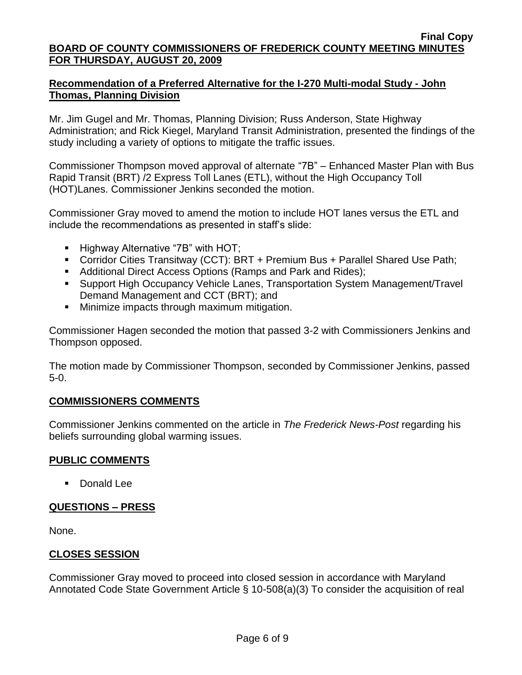## **Recommendation of a Preferred Alternative for the I-270 Multi-modal Study - John Thomas, Planning Division**

Mr. Jim Gugel and Mr. Thomas, Planning Division; Russ Anderson, State Highway Administration; and Rick Kiegel, Maryland Transit Administration, presented the findings of the study including a variety of options to mitigate the traffic issues.

Commissioner Thompson moved approval of alternate "7B" – Enhanced Master Plan with Bus Rapid Transit (BRT) /2 Express Toll Lanes (ETL), without the High Occupancy Toll (HOT)Lanes. Commissioner Jenkins seconded the motion.

Commissioner Gray moved to amend the motion to include HOT lanes versus the ETL and include the recommendations as presented in staff's slide:

- **Highway Alternative "7B" with HOT;**
- Corridor Cities Transitway (CCT): BRT + Premium Bus + Parallel Shared Use Path;
- Additional Direct Access Options (Ramps and Park and Rides);
- Support High Occupancy Vehicle Lanes, Transportation System Management/Travel Demand Management and CCT (BRT); and
- **Minimize impacts through maximum mitigation.**

Commissioner Hagen seconded the motion that passed 3-2 with Commissioners Jenkins and Thompson opposed.

The motion made by Commissioner Thompson, seconded by Commissioner Jenkins, passed 5-0.

### **COMMISSIONERS COMMENTS**

Commissioner Jenkins commented on the article in *The Frederick News-Post* regarding his beliefs surrounding global warming issues.

# **PUBLIC COMMENTS**

■ Donald Lee

# **QUESTIONS – PRESS**

None.

# **CLOSES SESSION**

Commissioner Gray moved to proceed into closed session in accordance with Maryland Annotated Code State Government Article § 10-508(a)(3) To consider the acquisition of real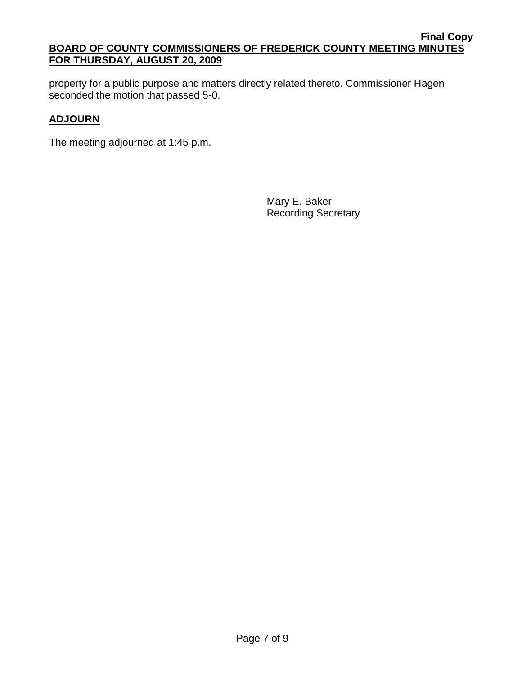property for a public purpose and matters directly related thereto. Commissioner Hagen seconded the motion that passed 5-0.

# **ADJOURN**

The meeting adjourned at 1:45 p.m.

Mary E. Baker Recording Secretary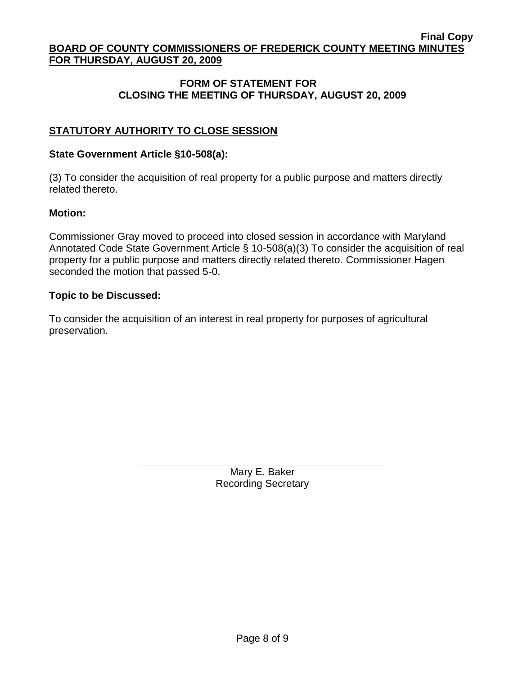## **FORM OF STATEMENT FOR CLOSING THE MEETING OF THURSDAY, AUGUST 20, 2009**

# **STATUTORY AUTHORITY TO CLOSE SESSION**

#### **State Government Article §10-508(a):**

(3) To consider the acquisition of real property for a public purpose and matters directly related thereto.

#### **Motion:**

Commissioner Gray moved to proceed into closed session in accordance with Maryland Annotated Code State Government Article § 10-508(a)(3) To consider the acquisition of real property for a public purpose and matters directly related thereto. Commissioner Hagen seconded the motion that passed 5-0.

#### **Topic to be Discussed:**

To consider the acquisition of an interest in real property for purposes of agricultural preservation.

> Mary E. Baker Recording Secretary